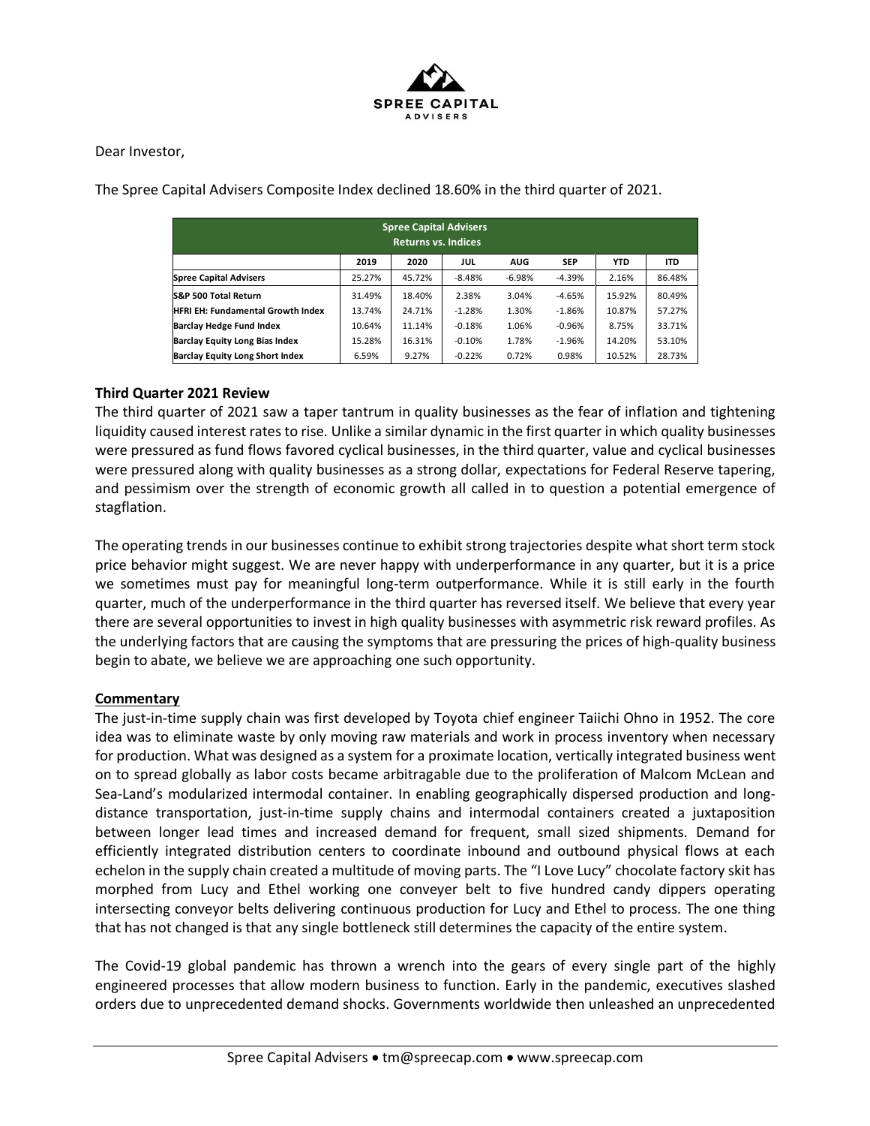

Dear Investor,

The Spree Capital Advisers Composite Index declined 18.60% in the third quarter of 2021.

| <b>Spree Capital Advisers</b><br><b>Returns vs. Indices</b> |        |        |          |            |            |            |            |
|-------------------------------------------------------------|--------|--------|----------|------------|------------|------------|------------|
|                                                             | 2019   | 2020   | JUL      | <b>AUG</b> | <b>SEP</b> | <b>YTD</b> | <b>ITD</b> |
| <b>Spree Capital Advisers</b>                               | 25.27% | 45.72% | $-8.48%$ | $-6.98%$   | $-4.39%$   | 2.16%      | 86.48%     |
| S&P 500 Total Return                                        | 31.49% | 18.40% | 2.38%    | 3.04%      | $-4.65%$   | 15.92%     | 80.49%     |
| <b>HFRI EH: Fundamental Growth Index</b>                    | 13.74% | 24.71% | $-1.28%$ | 1.30%      | $-1.86%$   | 10.87%     | 57.27%     |
| <b>Barclay Hedge Fund Index</b>                             | 10.64% | 11.14% | $-0.18%$ | 1.06%      | $-0.96%$   | 8.75%      | 33.71%     |
| <b>Barclay Equity Long Bias Index</b>                       | 15.28% | 16.31% | $-0.10%$ | 1.78%      | $-1.96%$   | 14.20%     | 53.10%     |
| <b>Barclay Equity Long Short Index</b>                      | 6.59%  | 9.27%  | $-0.22%$ | 0.72%      | 0.98%      | 10.52%     | 28.73%     |

## **Third Quarter 2021 Review**

The third quarter of 2021 saw a taper tantrum in quality businesses as the fear of inflation and tightening liquidity caused interest rates to rise. Unlike a similar dynamic in the first quarter in which quality businesses were pressured as fund flows favored cyclical businesses, in the third quarter, value and cyclical businesses were pressured along with quality businesses as a strong dollar, expectations for Federal Reserve tapering, and pessimism over the strength of economic growth all called in to question a potential emergence of stagflation.

The operating trends in our businesses continue to exhibit strong trajectories despite what short term stock price behavior might suggest. We are never happy with underperformance in any quarter, but it is a price we sometimes must pay for meaningful long-term outperformance. While it is still early in the fourth quarter, much of the underperformance in the third quarter has reversed itself. We believe that every year there are several opportunities to invest in high quality businesses with asymmetric risk reward profiles. As the underlying factors that are causing the symptoms that are pressuring the prices of high-quality business begin to abate, we believe we are approaching one such opportunity.

## **Commentary**

The just-in-time supply chain was first developed by Toyota chief engineer Taiichi Ohno in 1952. The core idea was to eliminate waste by only moving raw materials and work in process inventory when necessary for production. What was designed as a system for a proximate location, vertically integrated business went on to spread globally as labor costs became arbitragable due to the proliferation of Malcom McLean and Sea-Land's modularized intermodal container. In enabling geographically dispersed production and longdistance transportation, just-in-time supply chains and intermodal containers created a juxtaposition between longer lead times and increased demand for frequent, small sized shipments. Demand for efficiently integrated distribution centers to coordinate inbound and outbound physical flows at each echelon in the supply chain created a multitude of moving parts. The "I Love Lucy" chocolate factory skit has morphed from Lucy and Ethel working one conveyer belt to five hundred candy dippers operating intersecting conveyor belts delivering continuous production for Lucy and Ethel to process. The one thing that has not changed is that any single bottleneck still determines the capacity of the entire system.

The Covid-19 global pandemic has thrown a wrench into the gears of every single part of the highly engineered processes that allow modern business to function. Early in the pandemic, executives slashed orders due to unprecedented demand shocks. Governments worldwide then unleashed an unprecedented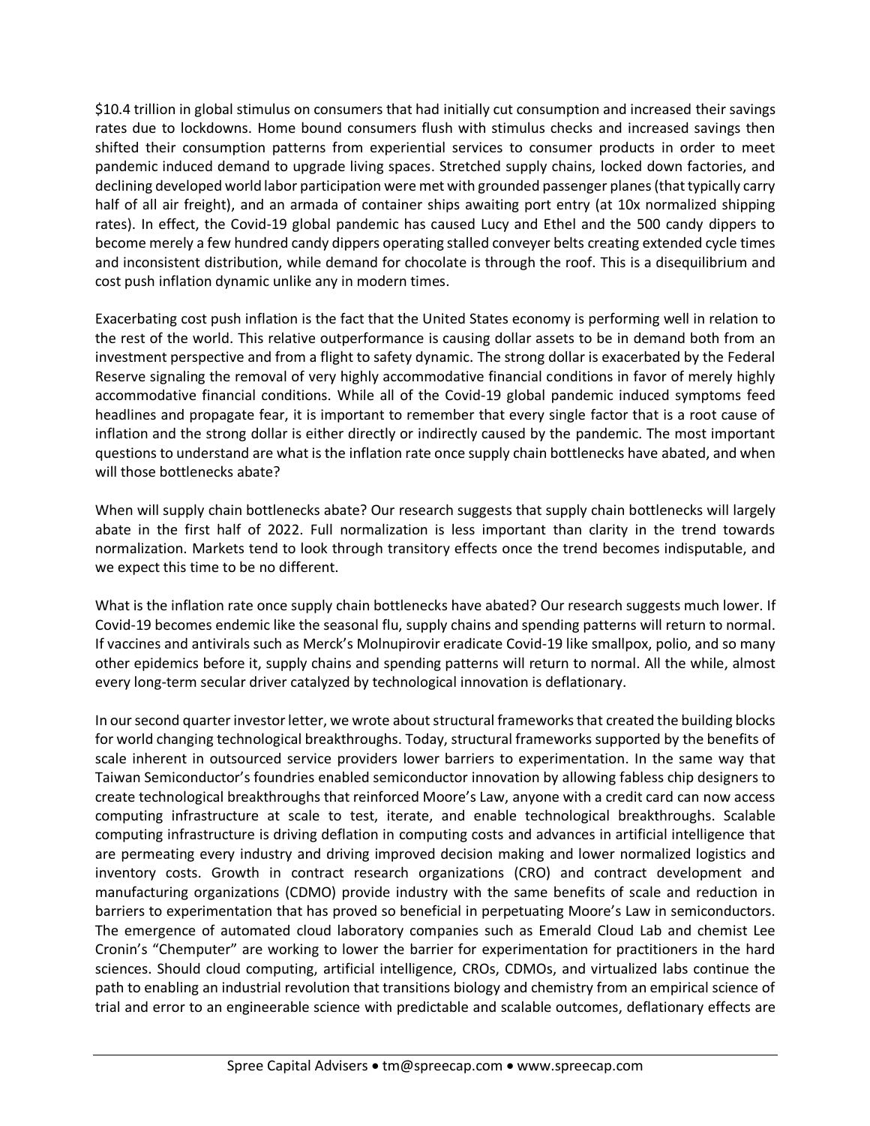\$10.4 trillion in global stimulus on consumers that had initially cut consumption and increased their savings rates due to lockdowns. Home bound consumers flush with stimulus checks and increased savings then shifted their consumption patterns from experiential services to consumer products in order to meet pandemic induced demand to upgrade living spaces. Stretched supply chains, locked down factories, and declining developed world labor participation were met with grounded passenger planes (that typically carry half of all air freight), and an armada of container ships awaiting port entry (at 10x normalized shipping rates). In effect, the Covid-19 global pandemic has caused Lucy and Ethel and the 500 candy dippers to become merely a few hundred candy dippers operating stalled conveyer belts creating extended cycle times and inconsistent distribution, while demand for chocolate is through the roof. This is a disequilibrium and cost push inflation dynamic unlike any in modern times.

Exacerbating cost push inflation is the fact that the United States economy is performing well in relation to the rest of the world. This relative outperformance is causing dollar assets to be in demand both from an investment perspective and from a flight to safety dynamic. The strong dollar is exacerbated by the Federal Reserve signaling the removal of very highly accommodative financial conditions in favor of merely highly accommodative financial conditions. While all of the Covid-19 global pandemic induced symptoms feed headlines and propagate fear, it is important to remember that every single factor that is a root cause of inflation and the strong dollar is either directly or indirectly caused by the pandemic. The most important questions to understand are what is the inflation rate once supply chain bottlenecks have abated, and when will those bottlenecks abate?

When will supply chain bottlenecks abate? Our research suggests that supply chain bottlenecks will largely abate in the first half of 2022. Full normalization is less important than clarity in the trend towards normalization. Markets tend to look through transitory effects once the trend becomes indisputable, and we expect this time to be no different.

What is the inflation rate once supply chain bottlenecks have abated? Our research suggests much lower. If Covid-19 becomes endemic like the seasonal flu, supply chains and spending patterns will return to normal. If vaccines and antivirals such as Merck's Molnupirovir eradicate Covid-19 like smallpox, polio, and so many other epidemics before it, supply chains and spending patterns will return to normal. All the while, almost every long-term secular driver catalyzed by technological innovation is deflationary.

In our second quarter investor letter, we wrote about structural frameworks that created the building blocks for world changing technological breakthroughs. Today, structural frameworks supported by the benefits of scale inherent in outsourced service providers lower barriers to experimentation. In the same way that Taiwan Semiconductor's foundries enabled semiconductor innovation by allowing fabless chip designers to create technological breakthroughs that reinforced Moore's Law, anyone with a credit card can now access computing infrastructure at scale to test, iterate, and enable technological breakthroughs. Scalable computing infrastructure is driving deflation in computing costs and advances in artificial intelligence that are permeating every industry and driving improved decision making and lower normalized logistics and inventory costs. Growth in contract research organizations (CRO) and contract development and manufacturing organizations (CDMO) provide industry with the same benefits of scale and reduction in barriers to experimentation that has proved so beneficial in perpetuating Moore's Law in semiconductors. The emergence of automated cloud laboratory companies such as Emerald Cloud Lab and chemist Lee Cronin's "Chemputer" are working to lower the barrier for experimentation for practitioners in the hard sciences. Should cloud computing, artificial intelligence, CROs, CDMOs, and virtualized labs continue the path to enabling an industrial revolution that transitions biology and chemistry from an empirical science of trial and error to an engineerable science with predictable and scalable outcomes, deflationary effects are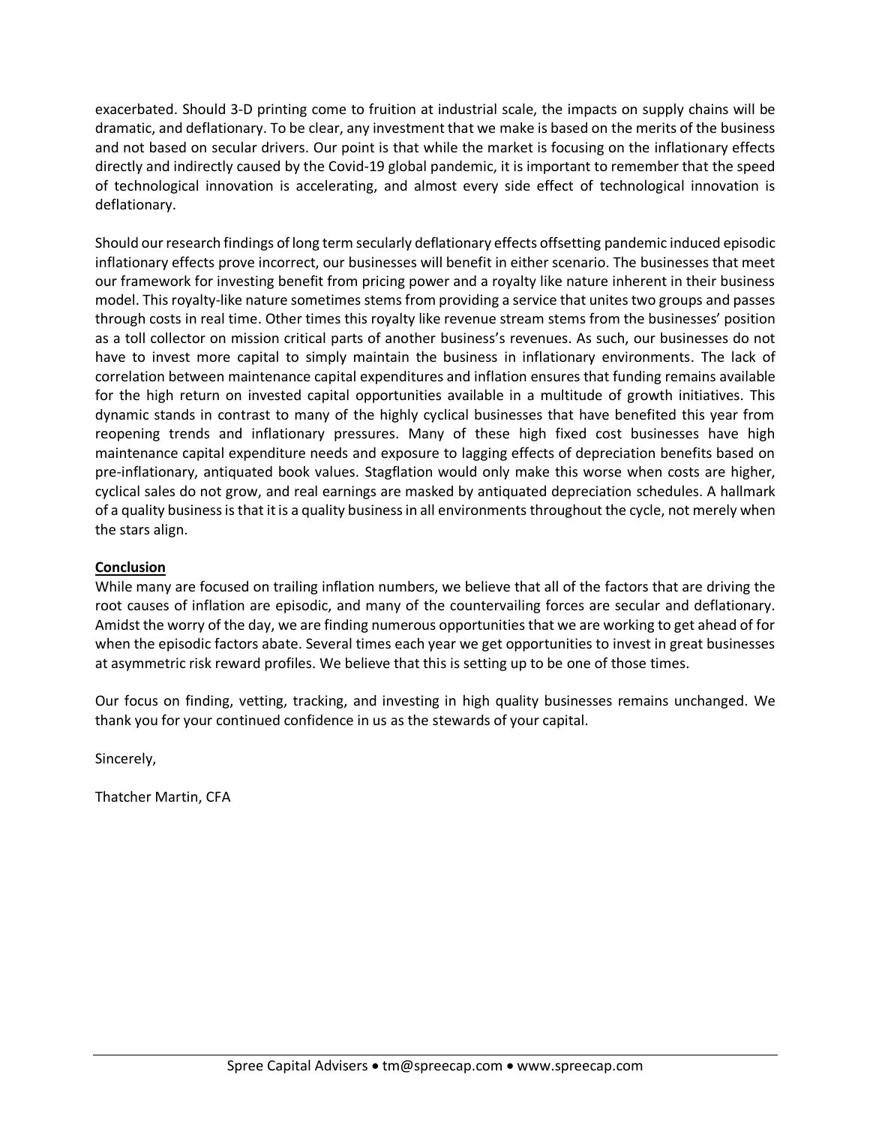exacerbated. Should 3-D printing come to fruition at industrial scale, the impacts on supply chains will be dramatic, and deflationary. To be clear, any investment that we make is based on the merits of the business and not based on secular drivers. Our point is that while the market is focusing on the inflationary effects directly and indirectly caused by the Covid-19 global pandemic, it is important to remember that the speed of technological innovation is accelerating, and almost every side effect of technological innovation is deflationary.

Should our research findings of long term secularly deflationary effects offsetting pandemic induced episodic inflationary effects prove incorrect, our businesses will benefit in either scenario. The businesses that meet our framework for investing benefit from pricing power and a royalty like nature inherent in their business model. This royalty-like nature sometimes stems from providing a service that unites two groups and passes through costs in real time. Other times this royalty like revenue stream stems from the businesses' position as a toll collector on mission critical parts of another business's revenues. As such, our businesses do not have to invest more capital to simply maintain the business in inflationary environments. The lack of correlation between maintenance capital expenditures and inflation ensures that funding remains available for the high return on invested capital opportunities available in a multitude of growth initiatives. This dynamic stands in contrast to many of the highly cyclical businesses that have benefited this year from reopening trends and inflationary pressures. Many of these high fixed cost businesses have high maintenance capital expenditure needs and exposure to lagging effects of depreciation benefits based on pre-inflationary, antiquated book values. Stagflation would only make this worse when costs are higher, cyclical sales do not grow, and real earnings are masked by antiquated depreciation schedules. A hallmark of a quality business is that it is a quality business in all environments throughout the cycle, not merely when the stars align.

## **Conclusion**

While many are focused on trailing inflation numbers, we believe that all of the factors that are driving the root causes of inflation are episodic, and many of the countervailing forces are secular and deflationary. Amidst the worry of the day, we are finding numerous opportunities that we are working to get ahead of for when the episodic factors abate. Several times each year we get opportunities to invest in great businesses at asymmetric risk reward profiles. We believe that this is setting up to be one of those times.

Our focus on finding, vetting, tracking, and investing in high quality businesses remains unchanged. We thank you for your continued confidence in us as the stewards of your capital.

Sincerely,

Thatcher Martin, CFA